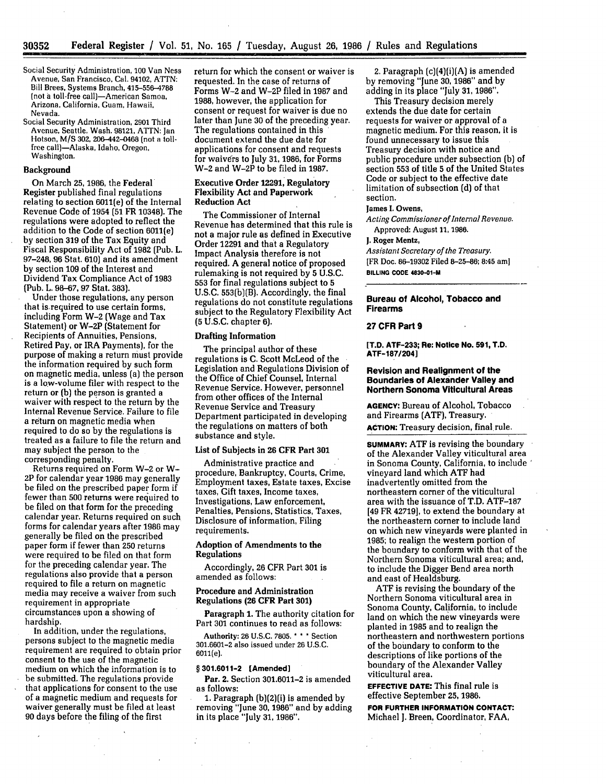- Social Security Administration, **100** Van Ness Avenue, San Francisco, Cal. 94102, ATTN: Bill Brees, Systems Branch, 415-556-4788 (not a toll-free call)-American Samoa, Arizona, California, Guam, Hawaii, Nevada.
- Social Security Administration, 2901 Third Avenue, Seattle, Wash. 98121, ATTN: Jan Hotson, M/S 302, 206-442-0468 (not a tollfree call)-Alaska, Idaho, Oregon, Washington.

## Background

On March 25, 1986, the Federal Register published final regulations relating to section 6011(e) **of** the Internal Revenue Code **of** 1954 (51 FR 10348). The regulations were adopted to reflect the addition to the Code of section 6011(e) by section 319 of the Tax Equity and Fiscal Responsibility Act of 1982 (Pub. L. 97-248, **96** Stat. 610) and its amendment by section **109** of the Interest and Dividend Tax Compliance Act of 1983 (Pub. L. 98-67, 97 Stat. 383).

Under those regulations, any person that is.required to use certain forms, including Form W-2 (Wage and Tax Statement) or W-2P (Statement for Recipients of Annuities, Pensions, Retired Pay, or IRA Payments), for the purpose of making a return must provide the information required by such form on magnetic media, unless (a) the person is a low-volume filer with respect to the return or (b) the person is granted a waiver with respect to the return by the Internal Revenue Service. Failure to file a return on magnetic media when required to do so by the regulations is treated as a failure to file the return and may subject the person to the corresponding penalty.

Returns required on Form W-2 or W-2P for calendar year 1986 may generally be filed on the prescribed paper form if fewer than **500** returns were required to be filed on that form for the preceding calendar year. Returns required on such forms for calendar years after 1986 may generally be filed on the prescribed paper form if fewer than **250** returns were required to be filed on that form for the preceding calendar year. The regulations also provide that a person required to file a return on magnetic media may receive a waiver from such requirement in appropriate circumstances upon a showing of hardship.

In addition, under the regulations, persons subject to the magnetic media requirement are required to obtain prior consent to the use of the magnetic medium on which the information is to be submitted. The regulations provide that applications for consent to the use of a magnetic medium and requests for waiver generally must be filed at least **90** days before the filing of the first

return for which the consent or waiver is requested. In the case of returns of Forms W-2 and W-2P filed in 1987 and 1988, however, the application for consent or request for waiver is due no later than June **30** of the preceding year. The regulations contained in this document extend the due date for applications for consent and requests for waivers to July 31, 1986, for Forms W-2 and W-2P to be filed in 1987.

#### Executive **Order 12291,** Regulatory Flexibility Act and Paperwork Reduction Act

The Commissioner of Internal Revenue has determined that this rule is not a major rule as defined in Executive Order **12291** and that a Regulatory Impact Analysis therefore is not required. **A** general notice of proposed rulemaking is not required **by 5 U.S.C. 553** for final regulations subject to **5 U.S.C.** 553(b)(B). Accordingly, the final regulations do not constitute regulations subject to the Regulatory Flexibility Act (5 U.S.C. chapter 6).

## Drafting Information

The principal author of these regulations is C. Scott McLeod of the Legislation and Regulations Division of the Office of Chief Counsel, Internal Revenue Service. However, personnel from other offices of the Internal Revenue Service and Treasury Department participated in developing the regulations on matters of both substance and style.

## List of Subjects in **26** CFR Part **301**

Administrative practice and procedure, Bankruptcy, Courts, Crime, Employment taxes, Estate taxes, Excise taxes, Gift taxes, Income taxes, Investigations, Law enforcement, Penalties, Pensions, Statistics, Taxes, Disclosure of information, Filing requirements.

## Adoption of Amendments to the **Regulations**

Accordingly, 26 CFR Part **301** is amended as follows:

## Procedure and Administration Regulations **(26** CFR Part **301)**

Paragraph **1.** The authority citation for Part **301** continues to read as follows:

Authority: 26 U.S.C. **7805. \* \* \*** Section 301.6601-2 also issued under 26 U.S.C. 6011(e).

## **§ 301.6011-2 (Amended]**

**Par. 2. Section 301.6011-2 is amended** as follows:

**1.** Paragraph (b)(2)(i) is amended **by** removing "June **30,** 1986" and by adding in its place "July 31, 1986".

2. Paragraph (c)(4)(i)(A) is amended by removing "June **30,** 1986" and by adding in its place "July 31, 1986".

This Treasury decision merely extends the due date for certain requests for waiver or approval of a magnetic medium. For this reason, it is found unnecessary to issue this Treasury decision with notice and public procedure under subsection (b) of section 553 of title 5 of the United States Code or subject to the effective date limitation of subsection (d) of that section.

#### **James I. Owens,**

*Acting Commissioner of Internal Revenue.* Approved: August 11, 1986.

#### **J. Roger Mentz,**

*Assistant Secretary of the Treasury.* [FR Doc. 86-19302 Filed 8-25-86; 8:45 **am] BILLING CODE 4830-O1-M**

## **Bureau of Alcohol, Tobacco and Firearms**

## **27 CFR Part 9**

**[T.D. ATF-233; Re: Notice No. 591, T.D. ATF-187/204]**

### **Revision and Realignment of the Boundaries of Alexander Valley and Northern Sonoma Viticultural Areas**

**AGENCY:** Bureau of Alcohol, Tobacco and Firearms **(ATF),** Treasury.

**ACTION:** Treasury decision, final rule.

**SUMMARY: ATF** is revising the boundary of the Alexander Valley viticultural area in Sonoma County, California, to include vineyard land which **ATF** had inadvertently omitted from the northeastern corner of the viticultural area with the issuance of T.D. ATF-187 [49 FR 42719], to extend the boundary at the northeastern corner to include land on which new vineyards were planted in **1985;** to realign the western portion of the boundary to conform with that of the Northern Sonoma viticultural area; and, to include the Digger Bend area north and east of Healdsburg.

**ATF** is revising the boundary of the Northern Sonoma viticultural area in Sonoma County, California, to include land on which the new vineyards were planted in **1985** and to realign the northeastern and northwestern portions of the boundary to conform to the descriptions of like portions of the boundary of the Alexander Valley viticultural area.

**EFFECTIVE DATE:** This **final** rule **is** effective September **25, 1986.**

**FOR FURTHER INFORMATION CONTACT:** Michael **J.** Breen, **Coordinator, FAA,**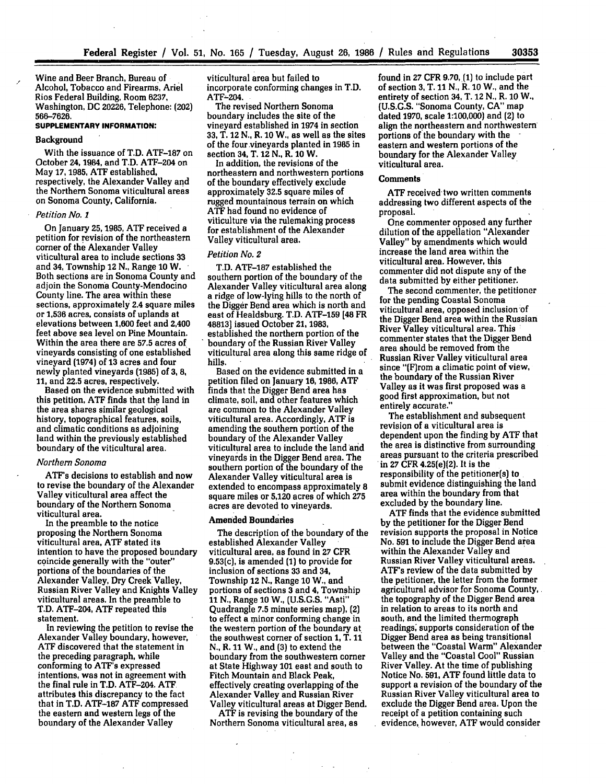Wine and Beer Branch, Bureau of Alcohol, Tobacco and Firearms, Ariel Rios Federal Building, Room 6237, Washington, **DC** 20226, Telephone: (202) 566-7626.

### **SUPPLEMENTARY INFORMATION:**

#### Background

With the issuance of T.D. ATF-187 on October 24, 1984, and T.D. ATF-204 on May **17, 1985,** ATF established, respectively, the Alexander Valley and the Northern Sonoma viticultural areas on Sonoma County, California.

#### *Petition No. 1*

On January **25,1985, ATF** received a petition for revision of the northeastern corner of the Alexander Valley viticultural area to include sections **33** and 34, Township 12 **N.,** Range **10** W. Both sections are in Sonoma County and adjoin the Sonoma County-Mendocino County line. The area within these sections, approximately 2.4 square miles or **1,536** acres, consists of uplands at elevations between **1,600** feet and 2,400 feet above sea level on Pine Mountain. Within the area there are **57.5** acres of vineyards consisting of one established vineyard (1974) of 13 acres and four newly planted vineyards **(1985)** of **3, 8, 11,** and 22.5 acres, respectively.

Based on the evidence submitted with this petition, ATF finds that the land in the area shares similar geological history, topographical features, soils, and climatic conditions as adjoining land within the previously established boundary of the viticultural area.

#### *Northern Sonoma*

ATF's decisions to establish and now to revise the boundary of the Alexander Valley viticultural area affect the boundary of the Northern Sonoma viticultural area.

In the preamble to the notice proposing the Northern Sonoma viticultural area, **ATF** stated its intention to have the proposed boundary coincide generally with the "outer" portions of the boundaries of the Alexander Valley, Dry Creek Valley, Russian River Valley and Knights Valley viticultural areas. In the preamble to T.D. ATF-204, **ATF** repeated this statement.

In reviewing the petition to revise the Alexander Valley boundary, however, **ATF** discovered that the statement in the preceding paragraph, while conforming to **ATF's** expressed intentions, was not in agreement with the final rule in T.D. ATF-204. **ATF** attributes this discrepancy to the fact that in T.D. **ATF-187 ATF** compressed the eastern and western legs of the boundary of the Alexander Valley

viticultural area but failed to incorporate conforming changes in T.D. ATF-204.

The revised Northern Sonoma boundary includes the site of the vineyard established in 1974 in section **33,** T. 12 **N.,** R. **10** W., as well as the sites of the fourvineyards planted in **1985** in section 34, T. 12 **N.,** R. **10** W.

In addition, the revisions of the northeastern and northwestern portions of the boundary effectively exclude approximately **32.5** square miles of rugged mountainous terrain on which **ATF** had found no evidence of viticulture via the rulemaking process for establishment of the Alexander Valley viticultural area.

#### *Petition No. 2*

T.D. **ATF-187** established the southern portion of the boundary of the Alexander Valley viticultural area along a ridge of low-lying hills to the north of the Digger Bend area which is north and east of Healdsburg. T.D. **ATF-159** [48 FR 48813 issued October 21, **1983,** established the northern portion of the boundary of the Russian Rivet Valley viticultural area along this same ridge of hills.

Based on the evidence submitted in a petition filed on January **16,** 1986, ATF finds that the Digger Bend area has climate, soil, and other features which are common to the Alexander Valley viticultural area. Accordingly, ATF is amending the southern portion of the boundary of the Alexander Valley viticultural area to include the land arid vineyards in the Digger Bend area. The southern portion of the boundary of the Alexander Valley viticultural area is extended to encompass approximately **8** square miles or 5,120 acres of which **275** acres are devoted to vineyards.

#### Amended Boundaries

The description of the boundary of the established Alexander Valley viticultural area, as found in **27** CFR 9.53(c), is amended **(1)** to provide for inclusion of sections **33** and 34, Township 12 **N.,** Range **10** W., and portions of sections **3 and 4,** Township 11 **N.,** Range **10** W., **(U.S.G.S.** "Asti" Quadrangle **7.5** minute series map), (2) to effect a minor conforming change in the western portion of the boundary at the southwest corner of section 1, T. 11 **N.,** R. 11 W., and (3) to extend the boundary from the southwestern corner at State Highway **101** east and south to Fitch Mountain and Black Peak, effectively creating overlapping of the Alexander Valley and Russian River Valley viticultural areas at Digger Bend.

ATF is revising the boundary of the Northern Sonoma viticultural area, as found in **27** CFR 9.70, **(1)** to include part of section **3,** T. **11** N., R. 10 W., and the entirety of section 34, T. 12 **N.,** R. **10** W., (U.S.G.S. "Sonoma County, **CA"** map dated **1970,** scale 1:100,000) and (2) to align the northeastern and northwestern portions of the boundary with the  eastern and western portions of the boundary for the Alexander Valley viticultural area.

#### **Comments**

**ATF** received two written comments addressing two different aspects of the proposal.

One commenter opposed any further dilution of the appellation "Alexander Valley" **by** amendments which would increase the land area within the viticultural area. However, this commenter did not dispute any of the data submitted **by** either petitioner.

The second commenter, the petitioner for the pending Coastal Sonoma viticultural area, opposed inclusion of the Digger Bend area within the Russian River Valley viticultural area. This commenter states that the Digger Bend area should be removed from the Russian River Valley viticultural area since "(F)rom a climatic point of view, the boundary of the Russian River Valley as it was first proposed was a good first approximation, but not entirely accurate."

The establishment and subsequent revision of a viticultural area is dependent upon the finding by ATF that the area is distinctive from surrounding areas pursuant to the criteria prescribed in **27** CFR 4.25(e)(2). It is the responsibility of the petitioner(s) to submit evidence distinguishing the land area within the boundary from that excluded **by** the boundary line.

ATF finds that the evidence submitted **by** the petitioner for the Digger Bend revision supports the proposal in Notice No. **591** to include the Digger Bend area within the Alexander Valley and Russian River Valley viticultural areas. ATF's review of the data submitted **by** the petitioner, the letter from the former agricultural advisor for Sonoma County, the topography of the Digger Bend area in relation to areas to its north and south, and the limited thermograph readings, supports consideration of the Digger Bend area as being transitional between the "Coastal Warm" Alexander Valley and the "Coastal Cool" Russian River Valley. At the time of publishing Notice No. **591,** ATF found little data to support a revision of the boundary of the Russian River Valley viticultural area to exclude the Digger Bend area. Upon the receipt of a petition containing such evidence, however, ATF would consider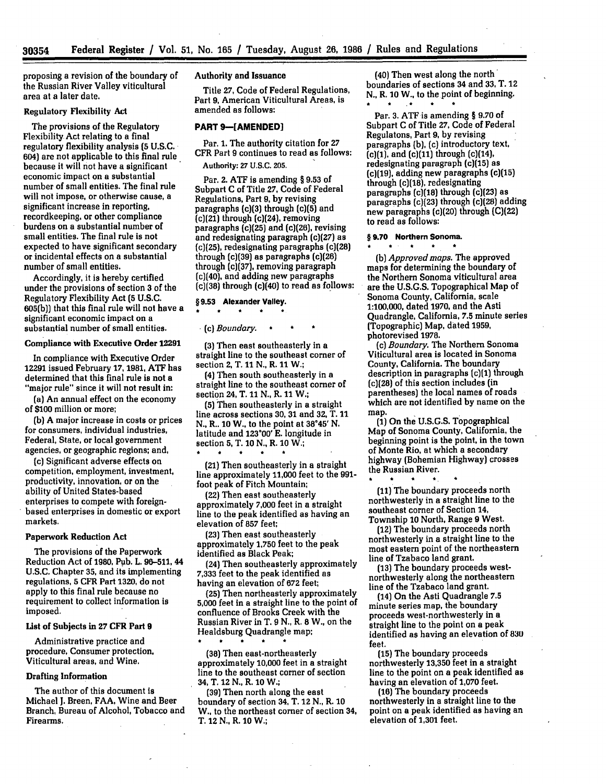proposing a revision of the boundary **of** the Russian River Valley viticultural area at a later date.

## Regulatory Flexibility **Act**

The provisions of the Regulatory Flexibility Act relating to a final regulatory flexibility analysis **(5 U.S.C.** 604) are not applicable to this final rule because it will not have a significant economic impact on a substantial number of small entities. The final rule will not impose, or otherwise cause, a significant increase in reporting, recordkeeping, or other compliance burdens on a substantial number of small entities. The final rule is not expected to have significant secondary or incidental effects on a substantial number of small entities.

Accordingly, it is hereby certified under the provisions of section **3** of the Regulatory Flexibility Act (5 U.S.C. **605(b))** that this final rule will not have a significant economic impact on a substantial number of small entities.

#### Compliance with Executive Order **12291**

In compliance with Executive Order **12291** issued February **17, 1981, ATF** has determined that this final rule is not a "major rule" since it will not result in:

(a) An annual effect on the economy of **\$100** million or more;

(b) A major increase in costs or prices for consumers, individual industries, Federal, State, or local government agencies, or geographic regions; and,

(c) Significant adverse effects on competition, employment, investment, productivity, innovation, or on the ability of United States-based enterprises to compete with foreignbased enterprises in domestic or export markets.

# Paperwork Reduction Act

The provisions of the Paperwork Reduction Act of **1980,** Pub. L. 96-511, 44 **U.S.C.** Chapter **35,** and its implementing regulations, **5** CFR Part **1320,** do not apply to this final rule because no requirement to collect information is imposed.

## **List** of Subjects in **27 CFR Part 9**

Administrative practice and procedure, Consumer protection, Viticultural areas, and Wine.

## Drafting Information

The author of this document is Michael **J.** Breen, **FAA,** Wine and Beer Branch, Bureau of Alcohol, Tobacco and Firearms.

## Authority and Issuance

Title **27,** Code of Federal Regulations, Part **9,** American Viticultural Areas, is amended as follows:

# **PART 9-[AMENDED]**

Par. **1.** The authority citation for 27 CFR Part **9** continues to read as follows: Authority: **27 U.S.C. 205.**

Par. 2. **ATF** is amending **§ 9.53** of Subpart **C** of Title **27,** Code of Federal Regulations, Part **9, by** revising paragraphs (c)(3) through (c)(5) and (c)(21) through (c)(24), removing paragraphs (c)(25) and (c)(26), revising and redesignating paragraph (c)(27) as (c)(25), redesignating paragraphs (c)(28) through (c)(39) as paragraphs (c)(26) through (c)(37), removing paragraph (c)(40), and adding new paragraphs  $(c)(38)$  through  $(c)(40)$  to read as follows:

# **§9.53** Alexander **Valley. a ar \* \* a**

(c) *Boundary.* **a** *\* \**

(3) Then east southeasterly in a straight line to the southeast comer of section 2, T. 11 **N.,** R. **11** W.;

(4) Then south southeasterly in a straight line to the southeast corner of section 24, T. 11 **N.,** R. 11 W.;

**(5)** Then southeasterly in a straight line across sections **30, 31** and **32,** T. 11 **N.,** R.. **10** W., to the point at **3845'** N. latitude and **123\*00' E.** longitude in section **5,** T. **10** N., R. **10** W.;

(21) Then southeasterly in a straight line approximately **11,000** feet to the 991 foot peak of Fitch Mountain;

(22) Then east southeasterly approximately **7,000** feet in a straight line to the peak identified as having an elevation of **857** feet;

(23) Then east southeasterly approximately **1,750** feet to the peak identified as Black Peak;

(24) Then southeasterly approximately **7,333** feet to the peak identified as having an elevation of **672** feet;

(25) Then northeasterly approximately **5,000** feet in a straight line to the point of confluence of Brooks Creek with the Russian River in T. **9 N.,** R. **8** W., on the Healdsburg Quadrangle map;

**(38)** Then east-northeasterly approximately **10,000** feet in a straight line to the southeast corner of section 34, T. 12 **N.,** R. **10 W.;**

**(39)** Then north along the east boundary of section 34, T. 12 **N.,** R. **10** W., to the northeast comer of section 34, T. 12 **N.,** R. **10** W.;

(40) Then west along the north' boundaries of sections 34 and **33,** T. 12 **N.,** R. **10** W., to the point of beginning. \* **\*** A \*

Par. **3. ATF** is amending § **9.70** of Subpart **C** of Title **27,** Code of Federal Regulatons, Part **9, by** revising paragraphs **(b),** (c) introductory text,  $(c)(1)$ , and  $(c)(11)$  through  $(c)(14)$ , redesignating paragraph (c)(15) as (c)(19), adding new paragraphs (c)(15) through (c)(18), redesignating paragraphs (c)(18) through (c)(23) as paragraphs (c)(23) through (c)(28) adding new paragraphs (c)(20) through **(C)(22)** to read as follows:

#### **§ 9.70 Northern Sonoma.**

*(b) Approved maps.* The approved maps for determining the boundary of the Northern Sonoma viticultural area are the **U.S.G.S.** Topographical Map of Sonoma County, California, scale **1:100,000,** dated **1970,** and the Asti Quadrangle, California, **7.5** minute series (Topographic) Map, dated **1959,** photorevised **1978.**

(c) *Boundary.* The Northern Sonoma Viticultural area is located in Sonoma County, California. The boundary description in paragraphs (c)(1) through (c)(28) of this section includes (in parentheses) the local names of roads which are not identified **by** name on the map

**(1)** On the **U.S.G.S.** Topographical Map of Sonoma County, California, the beginning point is the point, in the town of Monte Rio, at which a secondary highway (Bohemian Highway) crosses the Russian River.

**(11)** The boundary proceeds north northwesterly in a straight line to the southeast corner of Section 14, Township **10** North, Range 9 West.

(12) The boundary proceeds north northwesterly in a straight line to the most eastern point of the northeastern line of Tzabaco land grant.

**(13)** The boundary proceeds westnorthwesterly along the northeastern line of the Tzabaco land grant.

(14) On the Asti Quadrangle **7.5** minute series map, the boundary proceeds west-northwesterly in a straight line to the point on a peak identified as having an elevation of **830** feet.

**(15)** The boundary proceeds northwesterly **13,350** feet in a straight line to the point on a peak identified as having an elevation of **1,070** feet.

(16) The boundary proceeds northwesterly in a straight line to the point on a peak identified as having an elevation of **1,301** feet.